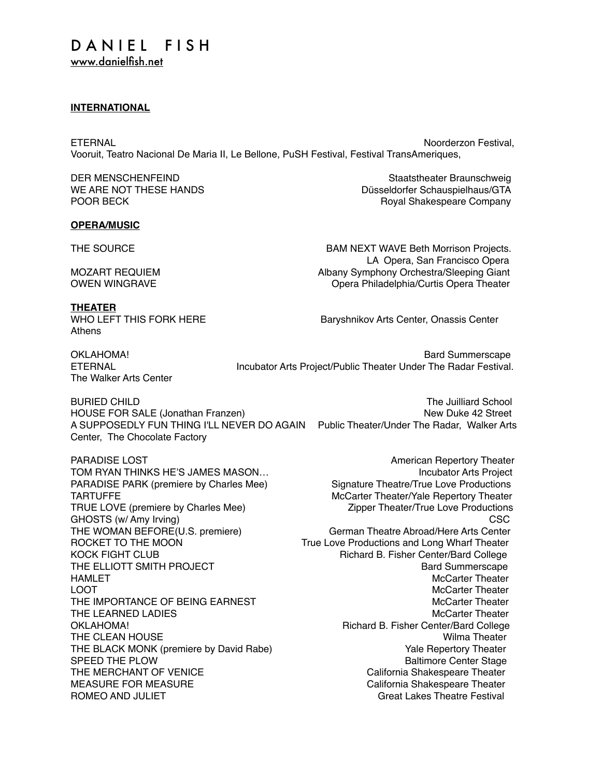#### **INTERNATIONAL**

ETERNAL Noorderzon Festival, and the extent of the extent of the extent of the extent of the extent of the extent of the extent of the extent of the extent of the extent of the extent of the extent of the extent of the ext Vooruit, Teatro Nacional De Maria II, Le Bellone, PuSH Festival, Festival TransAmeriques,

DER MENSCHENFEIND Staatstheater Braunschweig WE ARE NOT THESE HANDS **Düsseldorfer Schauspielhaus/GTA** POOR BECK **Royal Shakespeare Company** 

#### **OPERA/MUSIC**

**THEATER**

Athens

THE SOURCE **BAM NEXT WAVE Beth Morrison Projects.**  LA Opera, San Francisco Opera MOZART REQUIEM **Albany Symphony Orchestra/Sleeping Giant** OWEN WINGRAVE Opera Philadelphia/Curtis Opera Theater

WHO LEFT THIS FORK HERE Baryshnikov Arts Center, Onassis Center

The Walker Arts Center

OKLAHOMA! Bard Summerscape ETERNAL Incubator Arts Project/Public Theater Under The Radar Festival.

BURIED CHILD **The Juilliard School** HOUSE FOR SALE (Jonathan Franzen) New Duke 42 Street A SUPPOSEDLY FUN THING I'LL NEVER DO AGAIN Public Theater/Under The Radar, Walker Arts Center, The Chocolate Factory

THE ELLIOTT SMITH PROJECT

PARADISE LOST **American** Repertory Theater TOM RYAN THINKS HE'S JAMES MASON... Incubator Arts Project PARADISE PARK (premiere by Charles Mee) Signature Theatre/True Love Productions TARTUFFE MCCarter Theater/Yale Repertory Theater TRUE LOVE (premiere by Charles Mee) Zipper Theater/True Love Productions GHOSTS (w/ Amy Irving) CSC THE WOMAN BEFORE(U.S. premiere) German Theatre Abroad/Here Arts Center ROCKET TO THE MOON True Love Productions and Long Wharf Theater KOCK FIGHT CLUB **Richard B. Fisher Center/Bard College**<br>THE ELLIOTT SMITH PROJECT **Richard B. Fisher Center/Bard College** HAMLET **HAMLET** MCCarter Theater **McCarter Theater** McCarter Theater LOOT COMPUTER CONTROLLER IN THE SECOND MCCARTER THEATER IN THE MUSIC SECOND MCCARTER THEATER IN THE SECOND MCCARTER IN THE SECOND MCCARTER IN THE SECOND MCCARTER IN THE SECOND MCCARTER IN THE SECOND MCCARTER IN THE SECOND THE IMPORTANCE OF BEING EARNEST **A CONSTRUST CONTAINS A CONSTRUST OF A CONSTRUSTION** THE LEARNED LADIES **Manufather Contract Contract Contract Contract Contract Contract Contract Contract Contract Contract Contract Contract Contract Contract Contract Contract Contract Contract Contract Contract Contract Co** OKLAHOMA! Richard B. Fisher Center/Bard College THE CLEAN HOUSE **Wilma Theater** Wilma Theater THE BLACK MONK (premiere by David Rabe) Wale Repertory Theater SPEED THE PLOW **Baltimore Center Stage** THE MERCHANT OF VENICE **California** Shakespeare Theater MEASURE FOR MEASURE California Shakespeare Theater ROMEO AND JULIET **GRAIN CONSIDER A CONSIDER A CONSIDER A** Great Lakes Theatre Festival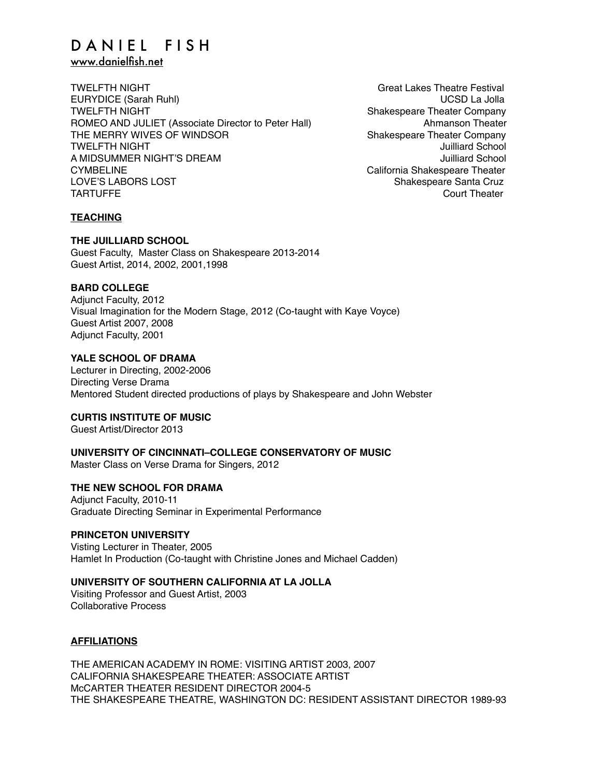## DANIEL FISH

[www.danielfish.net](http://www.danielfish.net)

TWELFTH NIGHT Great Lakes Theatre Festival EURYDICE (Sarah Ruhl) UCSD La Jolla TWELFTH NIGHT Shakespeare Theater Company ROMEO AND JULIET (Associate Director to Peter Hall) Ahmanson Theater THE MERRY WIVES OF WINDSOR<br>TWELFTH NIGHT Shakespeare Theater Company **TWELFTH NIGHT** A MIDSUMMER NIGHT'S DREAM AND AND THE SERVICE OF SALE AND HUILLIAN AND ANNUAL AND HUILLIAN AND ANNUAL ACTION O CYMBELINE CYMBELINE CONSERVERSITY CALIFORNIA Shakespeare Theater LOVE'S LABORS LOST Shakespeare Santa Cruz TARTUFFE COURT CONTROL COURT TO A COURT THE COURT OF THE COURT OF THE COURT OF THE COURT OF THE COURT OF THE COURT OF THE COURT OF THE COURT OF THE COURT OF THE COURT OF THE COURT OF THE COURT OF THE COURT OF THE COURT OF

#### **TEACHING**

**THE JUILLIARD SCHOOL**

Guest Faculty, Master Class on Shakespeare 2013-2014 Guest Artist, 2014, 2002, 2001,1998

#### **BARD COLLEGE**

Adjunct Faculty, 2012 Visual Imagination for the Modern Stage, 2012 (Co-taught with Kaye Voyce) Guest Artist 2007, 2008 Adjunct Faculty, 2001

#### **YALE SCHOOL OF DRAMA**

Lecturer in Directing, 2002-2006 Directing Verse Drama Mentored Student directed productions of plays by Shakespeare and John Webster

#### **CURTIS INSTITUTE OF MUSIC**

Guest Artist/Director 2013

#### **UNIVERSITY OF CINCINNATI–COLLEGE CONSERVATORY OF MUSIC**

Master Class on Verse Drama for Singers, 2012

#### **THE NEW SCHOOL FOR DRAMA**

Adjunct Faculty, 2010-11 Graduate Directing Seminar in Experimental Performance

#### **PRINCETON UNIVERSITY**

Visting Lecturer in Theater, 2005 Hamlet In Production (Co-taught with Christine Jones and Michael Cadden)

#### **UNIVERSITY OF SOUTHERN CALIFORNIA AT LA JOLLA**

Visiting Professor and Guest Artist, 2003 Collaborative Process

#### **AFFILIATIONS**

THE AMERICAN ACADEMY IN ROME: VISITING ARTIST 2003, 2007 CALIFORNIA SHAKESPEARE THEATER: ASSOCIATE ARTIST McCARTER THEATER RESIDENT DIRECTOR 2004-5 THE SHAKESPEARE THEATRE, WASHINGTON DC: RESIDENT ASSISTANT DIRECTOR 1989-93